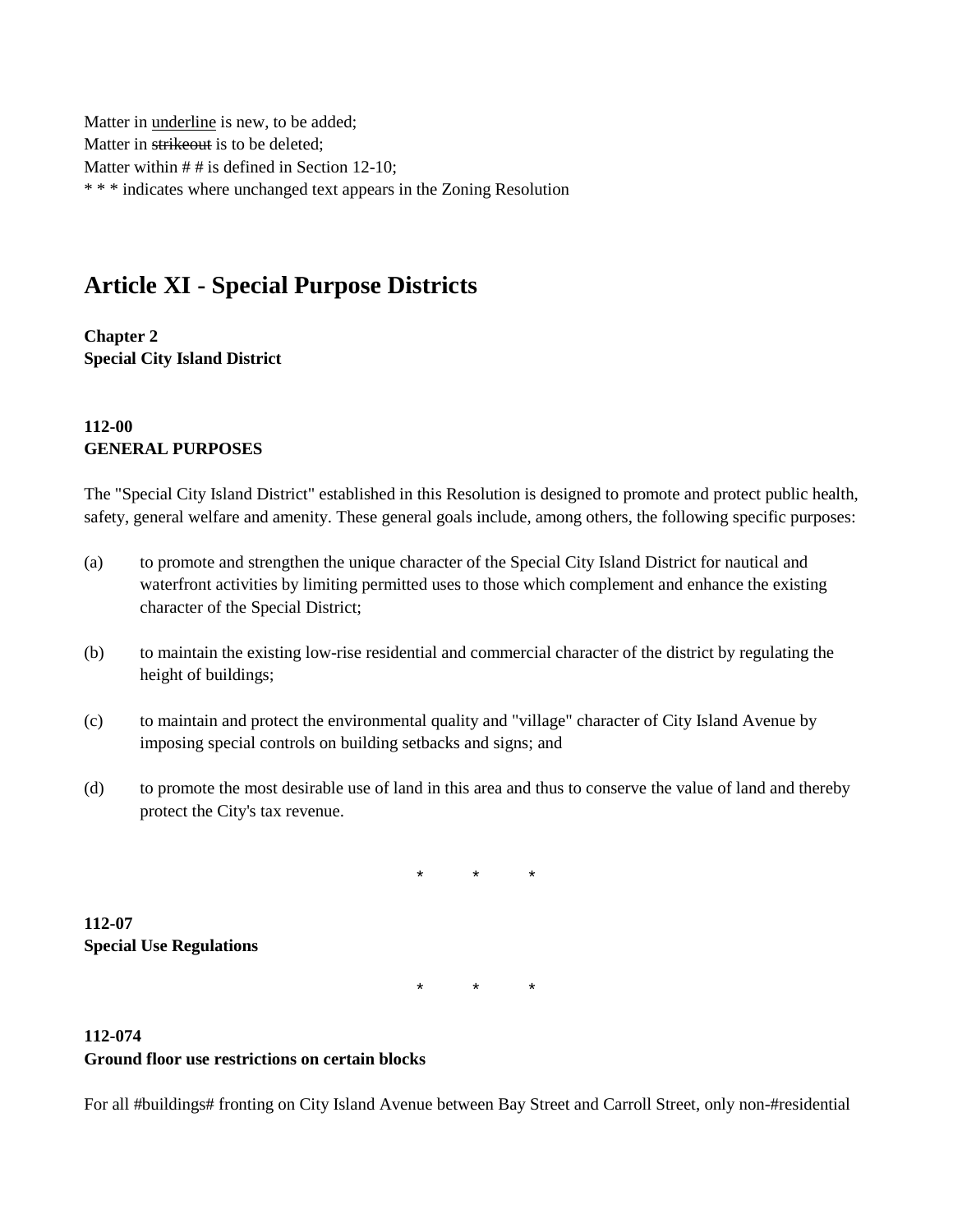Matter in underline is new, to be added; Matter in strikeout is to be deleted; Matter within # # is defined in Section 12-10; \* \* \* indicates where unchanged text appears in the Zoning Resolution

# **Article XI - Special Purpose Districts**

**Chapter 2 Special City Island District**

### **112-00 GENERAL PURPOSES**

The "Special City Island District" established in this Resolution is designed to promote and protect public health, safety, general welfare and amenity. These general goals include, among others, the following specific purposes:

- (a) to promote and strengthen the unique character of the Special City Island District for nautical and waterfront activities by limiting permitted uses to those which complement and enhance the existing character of the Special District;
- (b) to maintain the existing low-rise residential and commercial character of the district by regulating the height of buildings;
- (c) to maintain and protect the environmental quality and "village" character of City Island Avenue by imposing special controls on building setbacks and signs; and
- (d) to promote the most desirable use of land in this area and thus to conserve the value of land and thereby protect the City's tax revenue.

\* \* \*

**112-07 Special Use Regulations**

\* \* \*

### **112-074 Ground floor use restrictions on certain blocks**

For all #buildings# fronting on City Island Avenue between Bay Street and Carroll Street, only non-#residential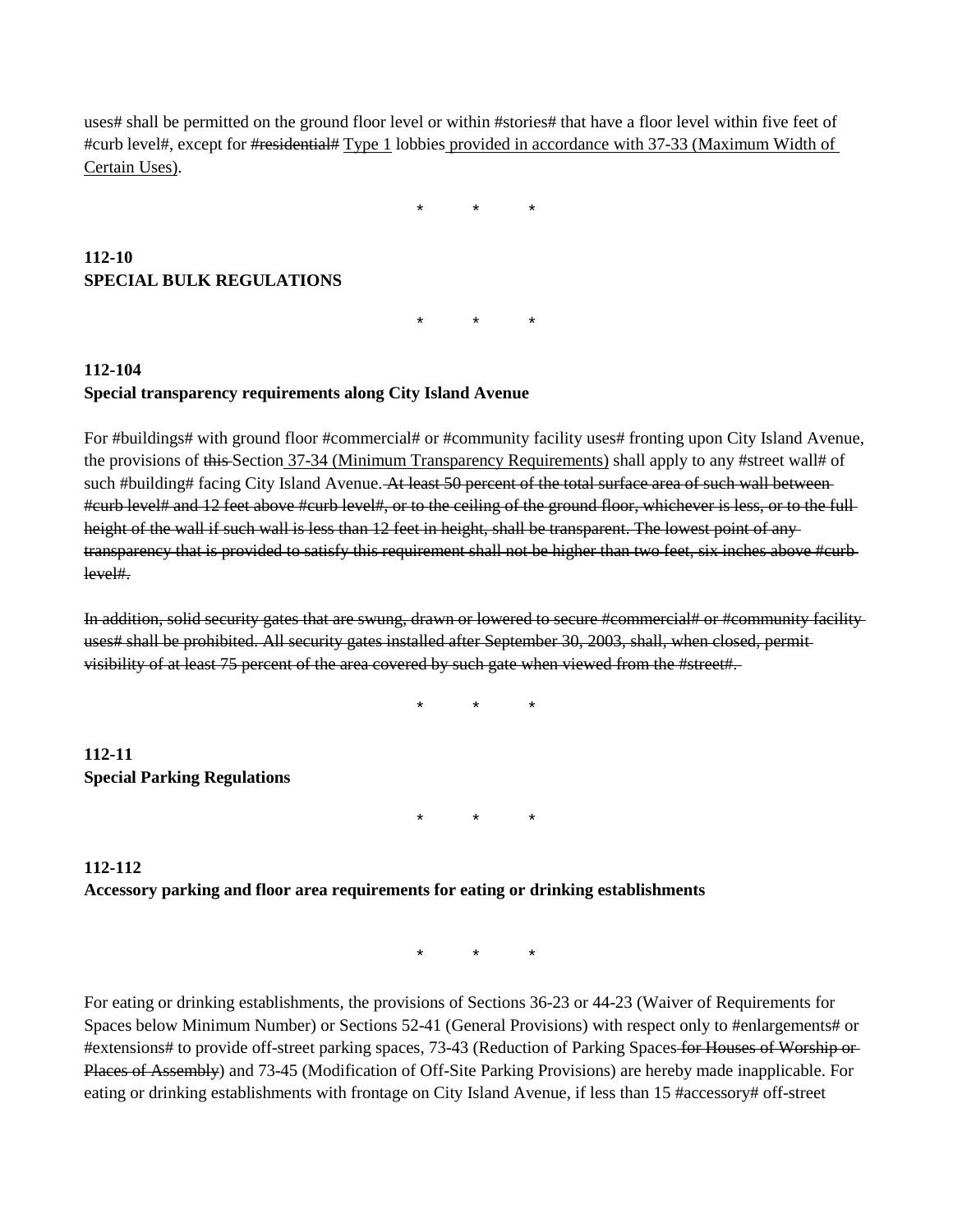uses# shall be permitted on the ground floor level or within #stories# that have a floor level within five feet of #curb level#, except for #residential# Type 1 lobbies provided in accordance with 37-33 (Maximum Width of Certain Uses).

\* \* \*

### **112-10 SPECIAL BULK REGULATIONS**

\* \* \*

## **112-104 Special transparency requirements along City Island Avenue**

For #buildings# with ground floor #commercial# or #community facility uses# fronting upon City Island Avenue, the provisions of this Section 37-34 (Minimum Transparency Requirements) shall apply to any #street wall# of such #building# facing City Island Avenue. At least 50 percent of the total surface area of such wall between #curb level# and 12 feet above #curb level#, or to the ceiling of the ground floor, whichever is less, or to the full height of the wall if such wall is less than 12 feet in height, shall be transparent. The lowest point of anytransparency that is provided to satisfy this requirement shall not be higher than two feet, six inches above #curb level#.

In addition, solid security gates that are swung, drawn or lowered to secure #commercial# or #community facility uses# shall be prohibited. All security gates installed after September 30, 2003, shall, when closed, permit visibility of at least 75 percent of the area covered by such gate when viewed from the #street#.

\* \* \*

**112-11 Special Parking Regulations**

\* \* \*

## **112-112 Accessory parking and floor area requirements for eating or drinking establishments**

\* \* \*

For eating or drinking establishments, the provisions of Sections 36-23 or 44-23 (Waiver of Requirements for Spaces below Minimum Number) or Sections 52-41 (General Provisions) with respect only to #enlargements# or #extensions# to provide off-street parking spaces, 73-43 (Reduction of Parking Spaces for Houses of Worship or Places of Assembly) and 73-45 (Modification of Off-Site Parking Provisions) are hereby made inapplicable. For eating or drinking establishments with frontage on City Island Avenue, if less than 15 #accessory# off-street